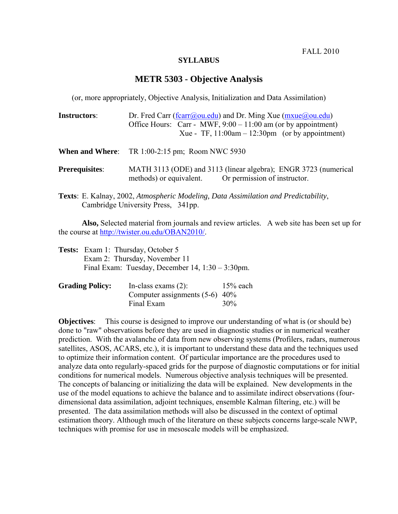FALL 2010

## **SYLLABUS**

## **METR 5303 - Objective Analysis**

(or, more appropriately, Objective Analysis, Initialization and Data Assimilation)

| <b>Instructors:</b>   | Dr. Fred Carr (fcarr@ou.edu) and Dr. Ming Xue ( $mxue@ou.edu$ )                                                                                                                                                                                                                                                                                                                        |  |  |
|-----------------------|----------------------------------------------------------------------------------------------------------------------------------------------------------------------------------------------------------------------------------------------------------------------------------------------------------------------------------------------------------------------------------------|--|--|
|                       | Office Hours: Carr - MWF, $9:00 - 11:00$ am (or by appointment)                                                                                                                                                                                                                                                                                                                        |  |  |
|                       | Xue - TF, $11:00$ am - $12:30$ pm (or by appointment)                                                                                                                                                                                                                                                                                                                                  |  |  |
|                       | <b>When and Where:</b> TR 1:00-2:15 pm; Room NWC 5930                                                                                                                                                                                                                                                                                                                                  |  |  |
| <b>Prerequisites:</b> | MATH 3113 (ODE) and 3113 (linear algebra); ENGR 3723 (numerical<br>methods) or equivalent. Or permission of instructor.                                                                                                                                                                                                                                                                |  |  |
|                       | $\mathbf{m}$ , $\mathbf{u}$ , $\mathbf{r}$ , $\mathbf{v}$ , $\mathbf{1}$ , $\mathbf{v}$ , $\mathbf{u}$ , $\mathbf{u}$ , $\mathbf{v}$ , $\mathbf{r}$ , $\mathbf{v}$ , $\mathbf{v}$ , $\mathbf{v}$ , $\mathbf{v}$ , $\mathbf{v}$ , $\mathbf{v}$ , $\mathbf{v}$ , $\mathbf{v}$ , $\mathbf{v}$ , $\mathbf{v}$ , $\mathbf{v}$ , $\mathbf{v}$ ,<br>$1 \, \text{m}$ $1^{\circ}$ , $1^{\circ}$ |  |  |

**Texts**: E. Kalnay, 2002, *Atmospheric Modeling, Data Assimilation and Predictability*, Cambridge University Press, 341pp.

**Also,** Selected material from journals and review articles. A web site has been set up for the course at http://twister.ou.edu/OBAN2010/.

| <b>Tests:</b> Exam 1: Thursday, October 5              |
|--------------------------------------------------------|
| Exam 2: Thursday, November 11                          |
| Final Exam: Tuesday, December $14$ , $1:30 - 3:30$ pm. |

| <b>Grading Policy:</b> | In-class exams $(2)$ :           | $15%$ each |
|------------------------|----------------------------------|------------|
|                        | Computer assignments $(5-6)$ 40% |            |
|                        | Final Exam                       | $30\%$     |

**Objectives:** This course is designed to improve our understanding of what is (or should be) done to "raw" observations before they are used in diagnostic studies or in numerical weather prediction. With the avalanche of data from new observing systems (Profilers, radars, numerous satellites, ASOS, ACARS, etc.), it is important to understand these data and the techniques used to optimize their information content. Of particular importance are the procedures used to analyze data onto regularly-spaced grids for the purpose of diagnostic computations or for initial conditions for numerical models. Numerous objective analysis techniques will be presented. The concepts of balancing or initializing the data will be explained. New developments in the use of the model equations to achieve the balance and to assimilate indirect observations (fourdimensional data assimilation, adjoint techniques, ensemble Kalman filtering, etc.) will be presented. The data assimilation methods will also be discussed in the context of optimal estimation theory. Although much of the literature on these subjects concerns large-scale NWP, techniques with promise for use in mesoscale models will be emphasized.